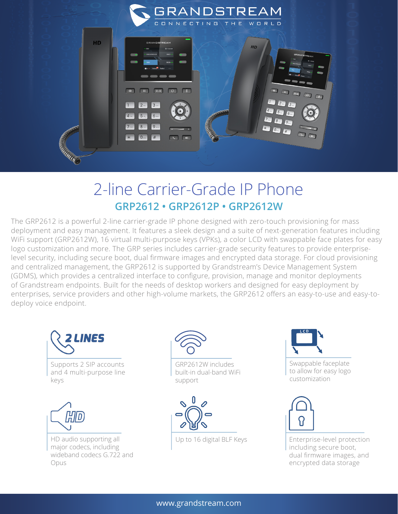

## 2-line Carrier-Grade IP Phone **GRP2612 • GRP2612P • GRP2612W**

The GRP2612 is a powerful 2-line carrier-grade IP phone designed with zero-touch provisioning for mass deployment and easy management. It features a sleek design and a suite of next-generation features including WiFi support (GRP2612W), 16 virtual multi-purpose keys (VPKs), a color LCD with swappable face plates for easy logo customization and more. The GRP series includes carrier-grade security features to provide enterpriselevel security, including secure boot, dual firmware images and encrypted data storage. For cloud provisioning and centralized management, the GRP2612 is supported by Grandstream's Device Management System (GDMS), which provides a centralized interface to configure, provision, manage and monitor deployments of Grandstream endpoints. Built for the needs of desktop workers and designed for easy deployment by enterprises, service providers and other high-volume markets, the GRP2612 offers an easy-to-use and easy-todeploy voice endpoint.





GRP2612W includes built-in dual-band WiFi support





Swappable faceplate to allow for easy logo customization



Up to 16 digital BLF Keys Enterprise-level protection including secure boot, dual firmware images, and encrypted data storage